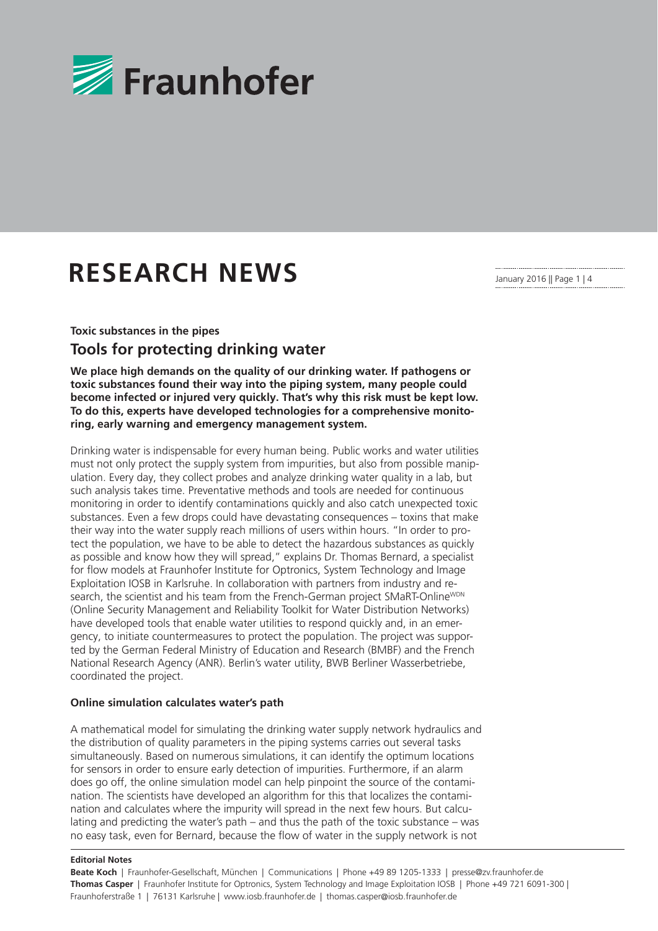

# **RESEARCH NEWS**

January 2016 || Page 1 | 4

## **Toxic substances in the pipes Tools for protecting drinking water**

**We place high demands on the quality of our drinking water. If pathogens or toxic substances found their way into the piping system, many people could become infected or injured very quickly. That's why this risk must be kept low. To do this, experts have developed technologies for a comprehensive monitoring, early warning and emergency management system.** 

Drinking water is indispensable for every human being. Public works and water utilities must not only protect the supply system from impurities, but also from possible manipulation. Every day, they collect probes and analyze drinking water quality in a lab, but such analysis takes time. Preventative methods and tools are needed for continuous monitoring in order to identify contaminations quickly and also catch unexpected toxic substances. Even a few drops could have devastating consequences – toxins that make their way into the water supply reach millions of users within hours. "In order to protect the population, we have to be able to detect the hazardous substances as quickly as possible and know how they will spread," explains Dr. Thomas Bernard, a specialist for flow models at Fraunhofer Institute for Optronics, System Technology and Image Exploitation IOSB in Karlsruhe. In collaboration with partners from industry and research, the scientist and his team from the French-German project SMaRT-Online<sup>WDN</sup> (Online Security Management and Reliability Toolkit for Water Distribution Networks) have developed tools that enable water utilities to respond quickly and, in an emergency, to initiate countermeasures to protect the population. The project was supported by the German Federal Ministry of Education and Research (BMBF) and the French National Research Agency (ANR). Berlin's water utility, BWB Berliner Wasserbetriebe, coordinated the project.

#### **Online simulation calculates water's path**

A mathematical model for simulating the drinking water supply network hydraulics and the distribution of quality parameters in the piping systems carries out several tasks simultaneously. Based on numerous simulations, it can identify the optimum locations for sensors in order to ensure early detection of impurities. Furthermore, if an alarm does go off, the online simulation model can help pinpoint the source of the contamination. The scientists have developed an algorithm for this that localizes the contamination and calculates where the impurity will spread in the next few hours. But calculating and predicting the water's path – and thus the path of the toxic substance – was no easy task, even for Bernard, because the flow of water in the supply network is not

#### **Editorial Notes**

**Beate Koch** | Fraunhofer-Gesellschaft, München | Communications | Phone +49 89 1205-1333 | presse@zv.fraunhofer.de **Thomas Casper** | Fraunhofer Institute for Optronics, System Technology and Image Exploitation IOSB | Phone +49 721 6091-300 | Fraunhoferstraße 1 | 76131 Karlsruhe | www.iosb.fraunhofer.de | thomas.casper@iosb.fraunhofer.de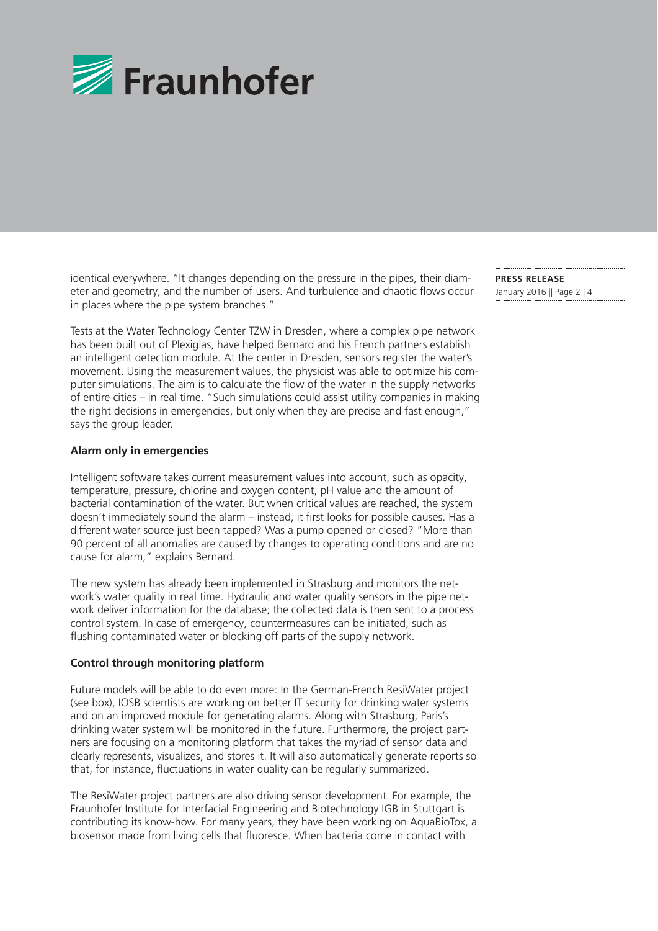

identical everywhere. "It changes depending on the pressure in the pipes, their diameter and geometry, and the number of users. And turbulence and chaotic flows occur in places where the pipe system branches."

Tests at the Water Technology Center TZW in Dresden, where a complex pipe network has been built out of Plexiglas, have helped Bernard and his French partners establish an intelligent detection module. At the center in Dresden, sensors register the water's movement. Using the measurement values, the physicist was able to optimize his computer simulations. The aim is to calculate the flow of the water in the supply networks of entire cities – in real time. "Such simulations could assist utility companies in making the right decisions in emergencies, but only when they are precise and fast enough," says the group leader.

#### **Alarm only in emergencies**

Intelligent software takes current measurement values into account, such as opacity, temperature, pressure, chlorine and oxygen content, pH value and the amount of bacterial contamination of the water. But when critical values are reached, the system doesn't immediately sound the alarm – instead, it first looks for possible causes. Has a different water source just been tapped? Was a pump opened or closed? "More than 90 percent of all anomalies are caused by changes to operating conditions and are no cause for alarm," explains Bernard.

The new system has already been implemented in Strasburg and monitors the network's water quality in real time. Hydraulic and water quality sensors in the pipe network deliver information for the database; the collected data is then sent to a process control system. In case of emergency, countermeasures can be initiated, such as flushing contaminated water or blocking off parts of the supply network.

#### **Control through monitoring platform**

Future models will be able to do even more: In the German-French ResiWater project (see box), IOSB scientists are working on better IT security for drinking water systems and on an improved module for generating alarms. Along with Strasburg, Paris's drinking water system will be monitored in the future. Furthermore, the project partners are focusing on a monitoring platform that takes the myriad of sensor data and clearly represents, visualizes, and stores it. It will also automatically generate reports so that, for instance, fluctuations in water quality can be regularly summarized.

The ResiWater project partners are also driving sensor development. For example, the Fraunhofer Institute for Interfacial Engineering and Biotechnology IGB in Stuttgart is contributing its know-how. For many years, they have been working on AquaBioTox, a biosensor made from living cells that fluoresce. When bacteria come in contact with

**PRESS RELEASE**  January 2016 || Page 2 | 4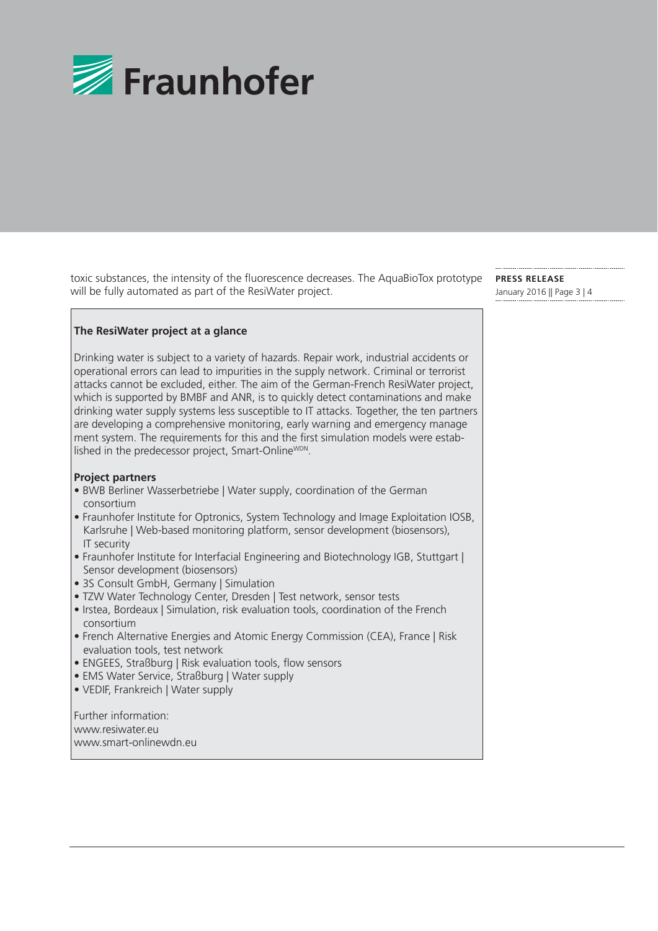

toxic substances, the intensity of the fluorescence decreases. The AquaBioTox prototype will be fully automated as part of the ResiWater project.

### **The ResiWater project at a glance**

 Drinking water is subject to a variety of hazards. Repair work, industrial accidents or operational errors can lead to impurities in the supply network. Criminal or terrorist attacks cannot be excluded, either. The aim of the German-French ResiWater project, which is supported by BMBF and ANR, is to quickly detect contaminations and make drinking water supply systems less susceptible to IT attacks. Together, the ten partners are developing a comprehensive monitoring, early warning and emergency manage ment system. The requirements for this and the first simulation models were established in the predecessor project, Smart-OnlineWDN.

#### **Project partners**

- BWB Berliner Wasserbetriebe | Water supply, coordination of the German consortium
- Fraunhofer Institute for Optronics, System Technology and Image Exploitation IOSB, Karlsruhe | Web-based monitoring platform, sensor development (biosensors), IT security
- Fraunhofer Institute for Interfacial Engineering and Biotechnology IGB, Stuttgart | Sensor development (biosensors)
- 3S Consult GmbH, Germany | Simulation
- TZW Water Technology Center, Dresden | Test network, sensor tests
- Irstea, Bordeaux | Simulation, risk evaluation tools, coordination of the French consortium
- French Alternative Energies and Atomic Energy Commission (CEA), France | Risk evaluation tools, test network
- ENGEES, Straßburg | Risk evaluation tools, flow sensors
- EMS Water Service, Straßburg | Water supply
- VEDIF, Frankreich | Water supply

 Further information: www.resiwater.eu www.smart-onlinewdn.eu **PRESS RELEASE**  January 2016 || Page 3 | 4